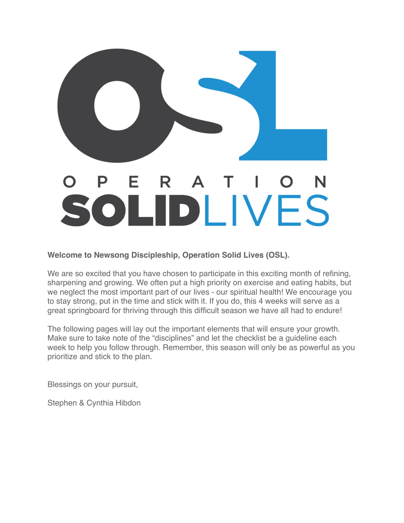

**Welcome to Newsong Discipleship, Operation Solid Lives (OSL).** 

We are so excited that you have chosen to participate in this exciting month of refining, sharpening and growing. We often put a high priority on exercise and eating habits, but we neglect the most important part of our lives - our spiritual health! We encourage you to stay strong, put in the time and stick with it. If you do, this 4 weeks will serve as a great springboard for thriving through this difficult season we have all had to endure!

The following pages will lay out the important elements that will ensure your growth. Make sure to take note of the "disciplines" and let the checklist be a guideline each week to help you follow through. Remember, this season will only be as powerful as you prioritize and stick to the plan.

Blessings on your pursuit,

Stephen & Cynthia Hibdon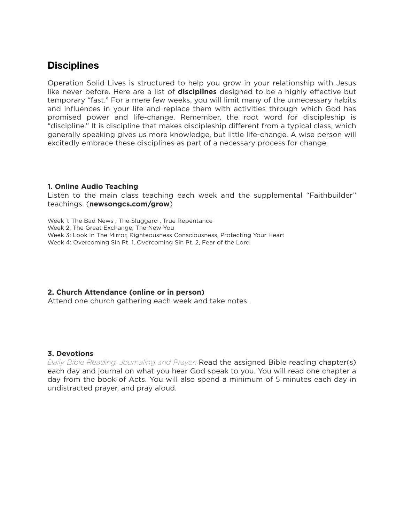### **Disciplines**

Operation Solid Lives is structured to help you grow in your relationship with Jesus like never before. Here are a list of **disciplines** designed to be a highly effective but temporary "fast." For a mere few weeks, you will limit many of the unnecessary habits and influences in your life and replace them with activities through which God has promised power and life-change. Remember, the root word for discipleship is "discipline." It is discipline that makes discipleship different from a typical class, which generally speaking gives us more knowledge, but little life-change. A wise person will excitedly embrace these disciplines as part of a necessary process for change.

#### **1. Online Audio Teaching**

Listen to the main class teaching each week and the supplemental "Faithbuilder" teachings. (**[newsongcs.com/grow](http://newsongcs.com/grow)**)

Week 1: The Bad News , The Sluggard , True Repentance Week 2: The Great Exchange, The New You Week 3: Look In The Mirror, Righteousness Consciousness, Protecting Your Heart Week 4: Overcoming Sin Pt. 1, Overcoming Sin Pt. 2, Fear of the Lord

#### **2. Church Attendance (online or in person)**

Attend one church gathering each week and take notes.

#### **3. Devotions**

*Daily Bible Reading, Journaling and Prayer:* Read the assigned Bible reading chapter(s) each day and journal on what you hear God speak to you. You will read one chapter a day from the book of Acts. You will also spend a minimum of 5 minutes each day in undistracted prayer, and pray aloud.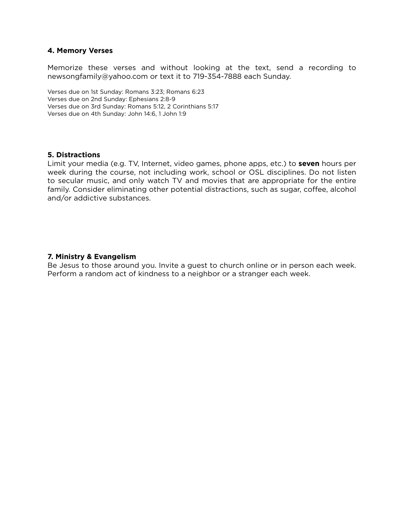#### **4. Memory Verses**

Memorize these verses and without looking at the text, send a recording to newsongfamily@yahoo.com or text it to 719-354-7888 each Sunday.

Verses due on 1st Sunday: Romans 3:23; Romans 6:23 Verses due on 2nd Sunday: Ephesians 2:8-9 Verses due on 3rd Sunday: Romans 5:12, 2 Corinthians 5:17 Verses due on 4th Sunday: John 14:6, 1 John 1:9

#### **5. Distractions**

Limit your media (e.g. TV, Internet, video games, phone apps, etc.) to **seven** hours per week during the course, not including work, school or OSL disciplines. Do not listen to secular music, and only watch TV and movies that are appropriate for the entire family. Consider eliminating other potential distractions, such as sugar, coffee, alcohol and/or addictive substances.

#### **7. Ministry & Evangelism**

Be Jesus to those around you. Invite a guest to church online or in person each week. Perform a random act of kindness to a neighbor or a stranger each week.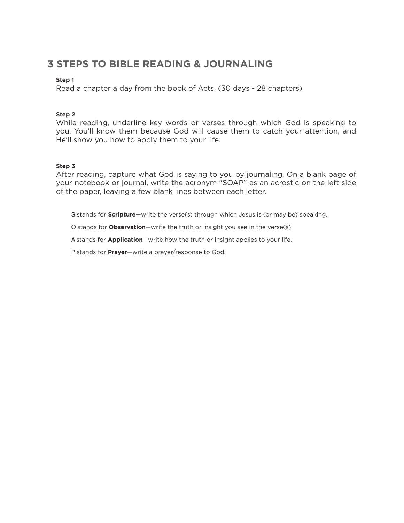## **3 STEPS TO BIBLE READING & JOURNALING**

#### **Step 1**

Read a chapter a day from the book of Acts. (30 days - 28 chapters)

#### **Step 2**

While reading, underline key words or verses through which God is speaking to you. You'll know them because God will cause them to catch your attention, and He'll show you how to apply them to your life.

#### **Step 3**

After reading, capture what God is saying to you by journaling. On a blank page of your notebook or journal, write the acronym "SOAP" as an acrostic on the left side of the paper, leaving a few blank lines between each letter.

S stands for **Scripture**—write the verse(s) through which Jesus is (or may be) speaking.

O stands for **Observation**—write the truth or insight you see in the verse(s).

A stands for **Application**—write how the truth or insight applies to your life.

P stands for **Prayer**—write a prayer/response to God.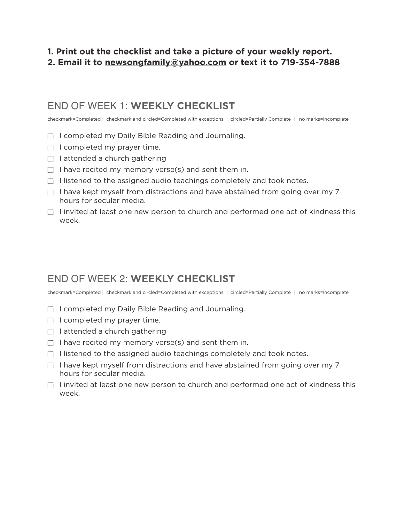### **1. Print out the checklist and take a picture of your weekly report. 2. Email it to [newsongfamily@yahoo.com](mailto:newsongfamily@yahoo.com) or text it to 719-354-7888**

## END OF WEEK 1: **WEEKLY CHECKLIST**

checkmark=Completed | checkmark and circled=Completed with exceptions | circled=Partially Complete | no marks=Incomplete

- $\Box$  I completed my Daily Bible Reading and Journaling.
- $\Box$  I completed my prayer time.
- $\Box$  I attended a church gathering
- $\Box$  I have recited my memory verse(s) and sent them in.
- $\Box$  I listened to the assigned audio teachings completely and took notes.
- $\Box$  I have kept myself from distractions and have abstained from going over my 7 hours for secular media.
- $\Box$  I invited at least one new person to church and performed one act of kindness this week.

# END OF WEEK 2: **WEEKLY CHECKLIST**

checkmark=Completed | checkmark and circled=Completed with exceptions | circled=Partially Complete | no marks=Incomplete

- $\Box$  I completed my Daily Bible Reading and Journaling.
- $\Box$  I completed my prayer time.
- $\Box$  I attended a church gathering
- $\Box$  I have recited my memory verse(s) and sent them in.
- $\Box$  I listened to the assigned audio teachings completely and took notes.
- $\Box$  I have kept myself from distractions and have abstained from going over my 7 hours for secular media.
- $\Box$  I invited at least one new person to church and performed one act of kindness this week.